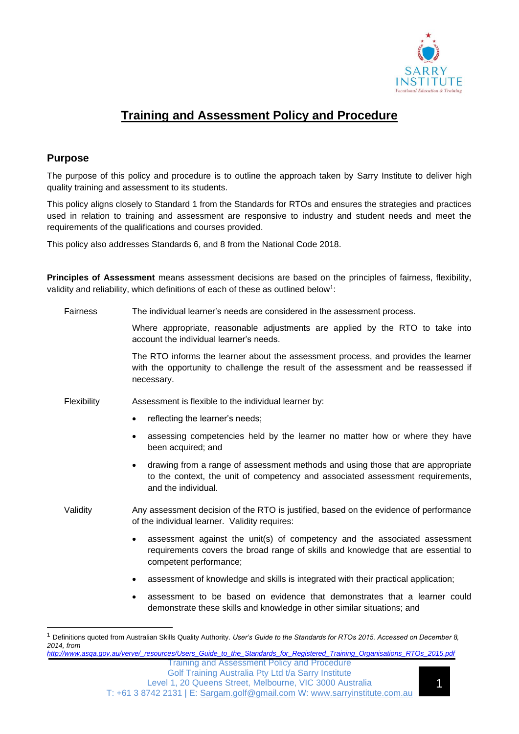

# **Training and Assessment Policy and Procedure**

# **Purpose**

The purpose of this policy and procedure is to outline the approach taken by Sarry Institute to deliver high quality training and assessment to its students.

This policy aligns closely to Standard 1 from the Standards for RTOs and ensures the strategies and practices used in relation to training and assessment are responsive to industry and student needs and meet the requirements of the qualifications and courses provided.

This policy also addresses Standards 6, and 8 from the National Code 2018.

**Principles of Assessment** means assessment decisions are based on the principles of fairness, flexibility, validity and reliability, which definitions of each of these as outlined below<sup>1</sup>:

| <b>Fairness</b> | The individual learner's needs are considered in the assessment process.                                                                                                                              |  |
|-----------------|-------------------------------------------------------------------------------------------------------------------------------------------------------------------------------------------------------|--|
|                 | Where appropriate, reasonable adjustments are applied by the RTO to take into<br>account the individual learner's needs.                                                                              |  |
|                 | The RTO informs the learner about the assessment process, and provides the learner<br>with the opportunity to challenge the result of the assessment and be reassessed if<br>necessary.               |  |
| Flexibility     | Assessment is flexible to the individual learner by:                                                                                                                                                  |  |
|                 | reflecting the learner's needs;                                                                                                                                                                       |  |
|                 | assessing competencies held by the learner no matter how or where they have<br>٠<br>been acquired; and                                                                                                |  |
|                 | drawing from a range of assessment methods and using those that are appropriate<br>$\bullet$<br>to the context, the unit of competency and associated assessment requirements,<br>and the individual. |  |
| Validity        | Any assessment decision of the RTO is justified, based on the evidence of performance<br>of the individual learner. Validity requires:                                                                |  |
|                 | assessment against the unit(s) of competency and the associated assessment<br>٠<br>requirements covers the broad range of skills and knowledge that are essential to<br>competent performance;        |  |
|                 | assessment of knowledge and skills is integrated with their practical application;                                                                                                                    |  |
|                 | assessment to be based on evidence that demonstrates that a learner could<br>$\bullet$<br>demonstrate these skills and knowledge in other similar situations; and                                     |  |
|                 |                                                                                                                                                                                                       |  |

Training and Assessment Policy and Procedure *[http://www.asqa.gov.au/verve/\\_resources/Users\\_Guide\\_to\\_the\\_Standards\\_for\\_Registered\\_Training\\_Organisations\\_RTOs\\_2015.pdf](http://www.asqa.gov.au/verve/_resources/Users_Guide_to_the_Standards_for_Registered_Training_Organisations_RTOs_2015.pdf)*

<sup>1</sup> Definitions quoted from Australian Skills Quality Authority. *User's Guide to the Standards for RTOs 2015. Accessed on December 8, 2014, from*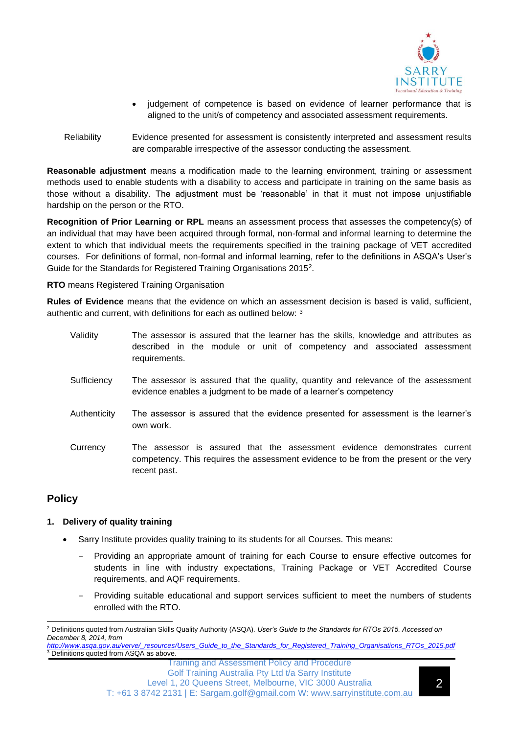

- judgement of competence is based on evidence of learner performance that is aligned to the unit/s of competency and associated assessment requirements.
- Reliability Evidence presented for assessment is consistently interpreted and assessment results are comparable irrespective of the assessor conducting the assessment.

**Reasonable adjustment** means a modification made to the learning environment, training or assessment methods used to enable students with a disability to access and participate in training on the same basis as those without a disability. The adjustment must be 'reasonable' in that it must not impose unjustifiable hardship on the person or the RTO.

**Recognition of Prior Learning or RPL** means an assessment process that assesses the competency(s) of an individual that may have been acquired through formal, non-formal and informal learning to determine the extent to which that individual meets the requirements specified in the training package of VET accredited courses. For definitions of formal, non-formal and informal learning, refer to the definitions in ASQA's User's Guide for the Standards for Registered Training Organisations 2015<sup>2</sup>.

**RTO** means Registered Training Organisation

**Rules of Evidence** means that the evidence on which an assessment decision is based is valid, sufficient, authentic and current, with definitions for each as outlined below: <sup>3</sup>

- Validity The assessor is assured that the learner has the skills, knowledge and attributes as described in the module or unit of competency and associated assessment requirements.
- Sufficiency The assessor is assured that the quality, quantity and relevance of the assessment evidence enables a judgment to be made of a learner's competency
- Authenticity The assessor is assured that the evidence presented for assessment is the learner's own work.
- Currency The assessor is assured that the assessment evidence demonstrates current competency. This requires the assessment evidence to be from the present or the very recent past.

# **Policy**

## **1. Delivery of quality training**

- Sarry Institute provides quality training to its students for all Courses. This means:
	- Providing an appropriate amount of training for each Course to ensure effective outcomes for students in line with industry expectations, Training Package or VET Accredited Course requirements, and AQF requirements.
	- Providing suitable educational and support services sufficient to meet the numbers of students enrolled with the RTO.

*[http://www.asqa.gov.au/verve/\\_resources/Users\\_Guide\\_to\\_the\\_Standards\\_for\\_Registered\\_Training\\_Organisations\\_RTOs\\_2015.pdf](http://www.asqa.gov.au/verve/_resources/Users_Guide_to_the_Standards_for_Registered_Training_Organisations_RTOs_2015.pdf)*  $3$  Definitions quoted from ASQA as above.

Training and Assessment Policy and Procedure Golf Training Australia Pty Ltd t/a Sarry Institute Level 1, 20 Queens Street, Melbourne, VIC 3000 Australia T: +61 3 8742 2131 | E: [Sargam.golf@gmail.com](mailto:Sargam.golf@gmail.com) W: [www.sarryinstitute.com.au](http://www.sarryinstitute.com.au/)

<sup>2</sup> Definitions quoted from Australian Skills Quality Authority (ASQA). *User's Guide to the Standards for RTOs 2015. Accessed on December 8, 2014, from*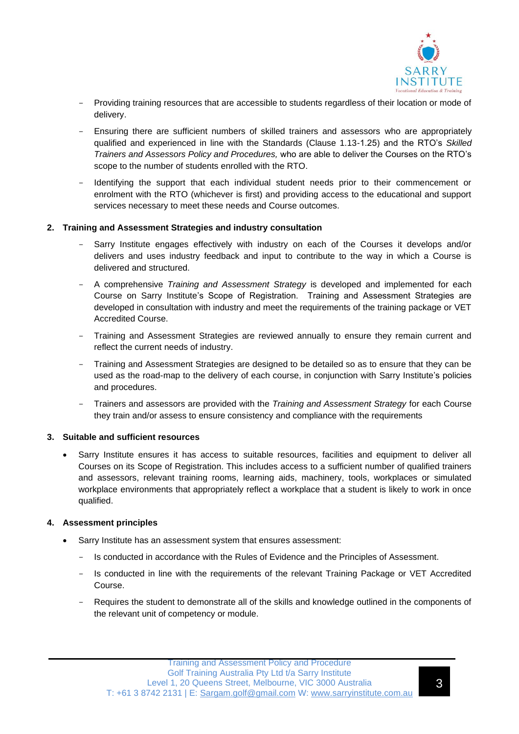

- Providing training resources that are accessible to students regardless of their location or mode of delivery.
- Ensuring there are sufficient numbers of skilled trainers and assessors who are appropriately qualified and experienced in line with the Standards (Clause 1.13-1.25) and the RTO's *Skilled Trainers and Assessors Policy and Procedures,* who are able to deliver the Courses on the RTO's scope to the number of students enrolled with the RTO.
- Identifying the support that each individual student needs prior to their commencement or enrolment with the RTO (whichever is first) and providing access to the educational and support services necessary to meet these needs and Course outcomes.

#### **2. Training and Assessment Strategies and industry consultation**

- Sarry Institute engages effectively with industry on each of the Courses it develops and/or delivers and uses industry feedback and input to contribute to the way in which a Course is delivered and structured.
- A comprehensive *Training and Assessment Strategy* is developed and implemented for each Course on Sarry Institute's Scope of Registration. Training and Assessment Strategies are developed in consultation with industry and meet the requirements of the training package or VET Accredited Course.
- Training and Assessment Strategies are reviewed annually to ensure they remain current and reflect the current needs of industry.
- Training and Assessment Strategies are designed to be detailed so as to ensure that they can be used as the road-map to the delivery of each course, in conjunction with Sarry Institute's policies and procedures.
- Trainers and assessors are provided with the *Training and Assessment Strategy* for each Course they train and/or assess to ensure consistency and compliance with the requirements

#### **3. Suitable and sufficient resources**

• Sarry Institute ensures it has access to suitable resources, facilities and equipment to deliver all Courses on its Scope of Registration. This includes access to a sufficient number of qualified trainers and assessors, relevant training rooms, learning aids, machinery, tools, workplaces or simulated workplace environments that appropriately reflect a workplace that a student is likely to work in once qualified.

## **4. Assessment principles**

- Sarry Institute has an assessment system that ensures assessment:
	- Is conducted in accordance with the Rules of Evidence and the Principles of Assessment.
	- Is conducted in line with the requirements of the relevant Training Package or VET Accredited Course.
	- Requires the student to demonstrate all of the skills and knowledge outlined in the components of the relevant unit of competency or module.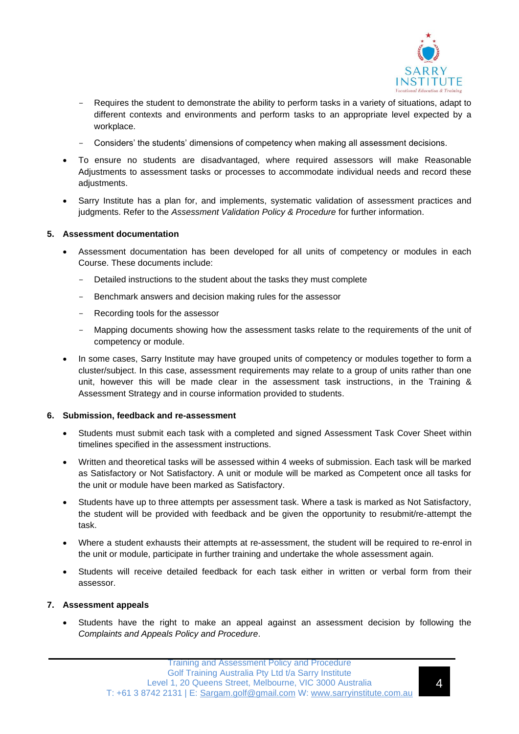

- Requires the student to demonstrate the ability to perform tasks in a variety of situations, adapt to different contexts and environments and perform tasks to an appropriate level expected by a workplace.
- Considers' the students' dimensions of competency when making all assessment decisions.
- To ensure no students are disadvantaged, where required assessors will make Reasonable Adjustments to assessment tasks or processes to accommodate individual needs and record these adjustments.
- Sarry Institute has a plan for, and implements, systematic validation of assessment practices and judgments. Refer to the *Assessment Validation Policy & Procedure* for further information.

#### **5. Assessment documentation**

- Assessment documentation has been developed for all units of competency or modules in each Course. These documents include:
	- Detailed instructions to the student about the tasks they must complete
	- Benchmark answers and decision making rules for the assessor
	- Recording tools for the assessor
	- Mapping documents showing how the assessment tasks relate to the requirements of the unit of competency or module.
- In some cases, Sarry Institute may have grouped units of competency or modules together to form a cluster/subject. In this case, assessment requirements may relate to a group of units rather than one unit, however this will be made clear in the assessment task instructions, in the Training & Assessment Strategy and in course information provided to students.

#### **6. Submission, feedback and re-assessment**

- Students must submit each task with a completed and signed Assessment Task Cover Sheet within timelines specified in the assessment instructions.
- Written and theoretical tasks will be assessed within 4 weeks of submission. Each task will be marked as Satisfactory or Not Satisfactory. A unit or module will be marked as Competent once all tasks for the unit or module have been marked as Satisfactory.
- Students have up to three attempts per assessment task. Where a task is marked as Not Satisfactory, the student will be provided with feedback and be given the opportunity to resubmit/re-attempt the task.
- Where a student exhausts their attempts at re-assessment, the student will be required to re-enrol in the unit or module, participate in further training and undertake the whole assessment again.
- Students will receive detailed feedback for each task either in written or verbal form from their assessor.

#### **7. Assessment appeals**

• Students have the right to make an appeal against an assessment decision by following the *Complaints and Appeals Policy and Procedure*.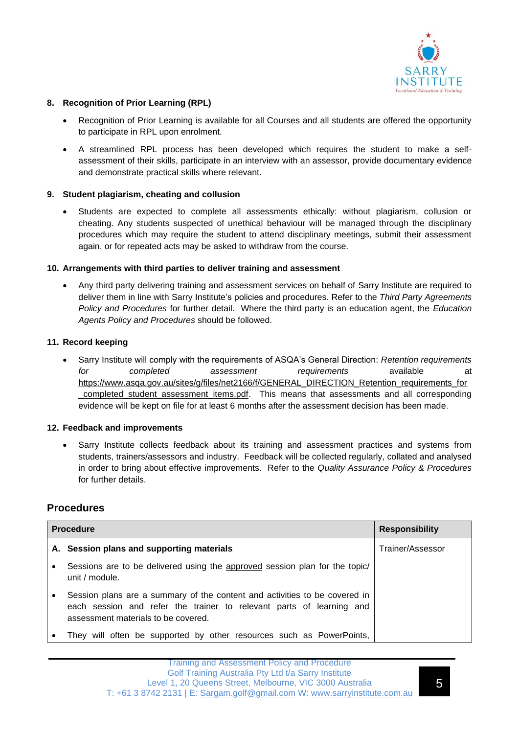

#### **8. Recognition of Prior Learning (RPL)**

- Recognition of Prior Learning is available for all Courses and all students are offered the opportunity to participate in RPL upon enrolment.
- A streamlined RPL process has been developed which requires the student to make a selfassessment of their skills, participate in an interview with an assessor, provide documentary evidence and demonstrate practical skills where relevant.

#### **9. Student plagiarism, cheating and collusion**

• Students are expected to complete all assessments ethically: without plagiarism, collusion or cheating. Any students suspected of unethical behaviour will be managed through the disciplinary procedures which may require the student to attend disciplinary meetings, submit their assessment again, or for repeated acts may be asked to withdraw from the course.

#### **10. Arrangements with third parties to deliver training and assessment**

• Any third party delivering training and assessment services on behalf of Sarry Institute are required to deliver them in line with Sarry Institute's policies and procedures. Refer to the *Third Party Agreements Policy and Procedures* for further detail. Where the third party is an education agent, the *Education Agents Policy and Procedures* should be followed.

#### **11. Record keeping**

• Sarry Institute will comply with the requirements of ASQA's General Direction: *Retention requirements for completed assessment requirements* available at [https://www.asqa.gov.au/sites/g/files/net2166/f/GENERAL\\_DIRECTION\\_Retention\\_requirements\\_for](https://www.asqa.gov.au/sites/g/files/net2166/f/GENERAL_DIRECTION_Retention_requirements_for_completed_student_assessment_items.pdf) [\\_completed\\_student\\_assessment\\_items.pdf.](https://www.asqa.gov.au/sites/g/files/net2166/f/GENERAL_DIRECTION_Retention_requirements_for_completed_student_assessment_items.pdf) This means that assessments and all corresponding evidence will be kept on file for at least 6 months after the assessment decision has been made.

#### **12. Feedback and improvements**

• Sarry Institute collects feedback about its training and assessment practices and systems from students, trainers/assessors and industry. Feedback will be collected regularly, collated and analysed in order to bring about effective improvements. Refer to the *Quality Assurance Policy & Procedures*  for further details.

# **Procedures**

| <b>Procedure</b> |                                                                                                                                                                                           | <b>Responsibility</b> |
|------------------|-------------------------------------------------------------------------------------------------------------------------------------------------------------------------------------------|-----------------------|
|                  | A. Session plans and supporting materials                                                                                                                                                 | Trainer/Assessor      |
| ٠                | Sessions are to be delivered using the approved session plan for the topic/<br>unit / module.                                                                                             |                       |
| ٠                | Session plans are a summary of the content and activities to be covered in<br>each session and refer the trainer to relevant parts of learning and<br>assessment materials to be covered. |                       |
|                  | They will often be supported by other resources such as PowerPoints,                                                                                                                      |                       |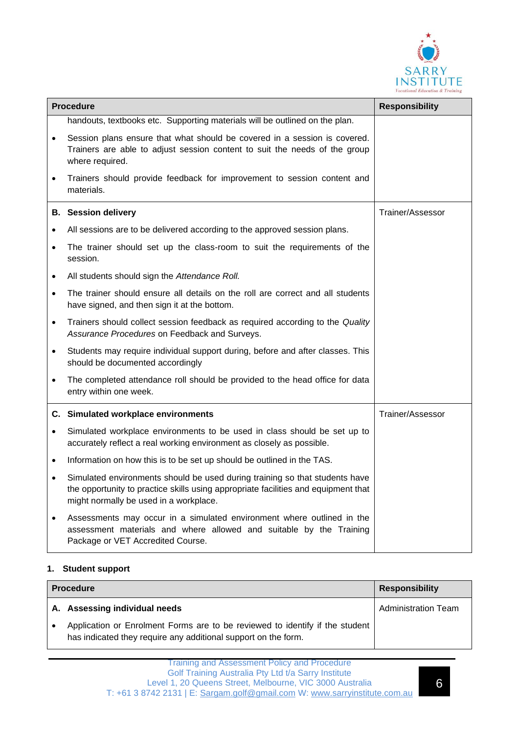

| <b>Procedure</b> |                                                                                                                                                                                                             | <b>Responsibility</b> |
|------------------|-------------------------------------------------------------------------------------------------------------------------------------------------------------------------------------------------------------|-----------------------|
|                  | handouts, textbooks etc. Supporting materials will be outlined on the plan.                                                                                                                                 |                       |
| $\bullet$        | Session plans ensure that what should be covered in a session is covered.<br>Trainers are able to adjust session content to suit the needs of the group<br>where required.                                  |                       |
| $\bullet$        | Trainers should provide feedback for improvement to session content and<br>materials.                                                                                                                       |                       |
|                  | <b>B.</b> Session delivery                                                                                                                                                                                  | Trainer/Assessor      |
| $\bullet$        | All sessions are to be delivered according to the approved session plans.                                                                                                                                   |                       |
| $\bullet$        | The trainer should set up the class-room to suit the requirements of the<br>session.                                                                                                                        |                       |
| $\bullet$        | All students should sign the Attendance Roll.                                                                                                                                                               |                       |
| $\bullet$        | The trainer should ensure all details on the roll are correct and all students<br>have signed, and then sign it at the bottom.                                                                              |                       |
| $\bullet$        | Trainers should collect session feedback as required according to the Quality<br>Assurance Procedures on Feedback and Surveys.                                                                              |                       |
| $\bullet$        | Students may require individual support during, before and after classes. This<br>should be documented accordingly                                                                                          |                       |
| $\bullet$        | The completed attendance roll should be provided to the head office for data<br>entry within one week.                                                                                                      |                       |
|                  | C. Simulated workplace environments                                                                                                                                                                         | Trainer/Assessor      |
| $\bullet$        | Simulated workplace environments to be used in class should be set up to<br>accurately reflect a real working environment as closely as possible.                                                           |                       |
| $\bullet$        | Information on how this is to be set up should be outlined in the TAS.                                                                                                                                      |                       |
| $\bullet$        | Simulated environments should be used during training so that students have<br>the opportunity to practice skills using appropriate facilities and equipment that<br>might normally be used in a workplace. |                       |
| $\bullet$        | Assessments may occur in a simulated environment where outlined in the<br>assessment materials and where allowed and suitable by the Training<br>Package or VET Accredited Course.                          |                       |

# **1. Student support**

| <b>Procedure</b> |                                                                                                                                                | <b>Responsibility</b>      |
|------------------|------------------------------------------------------------------------------------------------------------------------------------------------|----------------------------|
|                  | A. Assessing individual needs                                                                                                                  | <b>Administration Team</b> |
|                  | Application or Enrolment Forms are to be reviewed to identify if the student<br>has indicated they require any additional support on the form. |                            |

6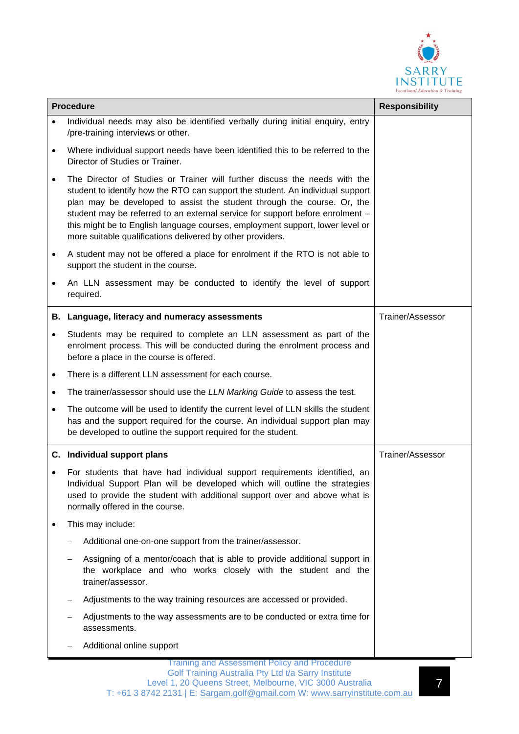

| <b>Procedure</b> |                                                                                                                                                                                                                                                                                                                                                                                                                                                                         | <b>Responsibility</b> |
|------------------|-------------------------------------------------------------------------------------------------------------------------------------------------------------------------------------------------------------------------------------------------------------------------------------------------------------------------------------------------------------------------------------------------------------------------------------------------------------------------|-----------------------|
|                  | Individual needs may also be identified verbally during initial enquiry, entry<br>/pre-training interviews or other.                                                                                                                                                                                                                                                                                                                                                    |                       |
| $\bullet$        | Where individual support needs have been identified this to be referred to the<br>Director of Studies or Trainer.                                                                                                                                                                                                                                                                                                                                                       |                       |
|                  | The Director of Studies or Trainer will further discuss the needs with the<br>student to identify how the RTO can support the student. An individual support<br>plan may be developed to assist the student through the course. Or, the<br>student may be referred to an external service for support before enrolment -<br>this might be to English language courses, employment support, lower level or<br>more suitable qualifications delivered by other providers. |                       |
| $\bullet$        | A student may not be offered a place for enrolment if the RTO is not able to<br>support the student in the course.                                                                                                                                                                                                                                                                                                                                                      |                       |
|                  | An LLN assessment may be conducted to identify the level of support<br>required.                                                                                                                                                                                                                                                                                                                                                                                        |                       |
|                  | B. Language, literacy and numeracy assessments                                                                                                                                                                                                                                                                                                                                                                                                                          | Trainer/Assessor      |
|                  | Students may be required to complete an LLN assessment as part of the<br>enrolment process. This will be conducted during the enrolment process and<br>before a place in the course is offered.                                                                                                                                                                                                                                                                         |                       |
| $\bullet$        | There is a different LLN assessment for each course.                                                                                                                                                                                                                                                                                                                                                                                                                    |                       |
| $\bullet$        | The trainer/assessor should use the LLN Marking Guide to assess the test.                                                                                                                                                                                                                                                                                                                                                                                               |                       |
| $\bullet$        | The outcome will be used to identify the current level of LLN skills the student<br>has and the support required for the course. An individual support plan may<br>be developed to outline the support required for the student.                                                                                                                                                                                                                                        |                       |
|                  | C. Individual support plans                                                                                                                                                                                                                                                                                                                                                                                                                                             | Trainer/Assessor      |
|                  | For students that have had individual support requirements identified, an<br>Individual Support Plan will be developed which will outline the strategies<br>used to provide the student with additional support over and above what is<br>normally offered in the course.                                                                                                                                                                                               |                       |
| ٠                | This may include:                                                                                                                                                                                                                                                                                                                                                                                                                                                       |                       |
|                  | Additional one-on-one support from the trainer/assessor.                                                                                                                                                                                                                                                                                                                                                                                                                |                       |
|                  | Assigning of a mentor/coach that is able to provide additional support in<br>the workplace and who works closely with the student and the<br>trainer/assessor.                                                                                                                                                                                                                                                                                                          |                       |
|                  | Adjustments to the way training resources are accessed or provided.<br>-                                                                                                                                                                                                                                                                                                                                                                                                |                       |
|                  | Adjustments to the way assessments are to be conducted or extra time for<br>assessments.                                                                                                                                                                                                                                                                                                                                                                                |                       |
|                  | Additional online support                                                                                                                                                                                                                                                                                                                                                                                                                                               |                       |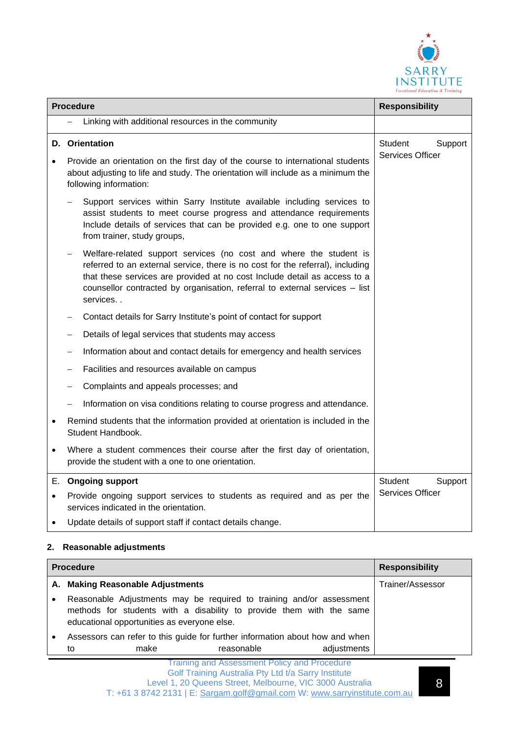

|           | <b>Procedure</b> |                                                                                                                                                                                                                                                                                                                              | <b>Responsibility</b>   |
|-----------|------------------|------------------------------------------------------------------------------------------------------------------------------------------------------------------------------------------------------------------------------------------------------------------------------------------------------------------------------|-------------------------|
|           |                  | Linking with additional resources in the community                                                                                                                                                                                                                                                                           |                         |
|           |                  | <b>D.</b> Orientation                                                                                                                                                                                                                                                                                                        | Student<br>Support      |
|           |                  | Provide an orientation on the first day of the course to international students<br>about adjusting to life and study. The orientation will include as a minimum the<br>following information:                                                                                                                                | Services Officer        |
|           |                  | Support services within Sarry Institute available including services to<br>assist students to meet course progress and attendance requirements<br>Include details of services that can be provided e.g. one to one support<br>from trainer, study groups,                                                                    |                         |
|           |                  | Welfare-related support services (no cost and where the student is<br>referred to an external service, there is no cost for the referral), including<br>that these services are provided at no cost Include detail as access to a<br>counsellor contracted by organisation, referral to external services - list<br>services |                         |
|           |                  | Contact details for Sarry Institute's point of contact for support                                                                                                                                                                                                                                                           |                         |
|           |                  | Details of legal services that students may access                                                                                                                                                                                                                                                                           |                         |
|           |                  | Information about and contact details for emergency and health services                                                                                                                                                                                                                                                      |                         |
|           |                  | Facilities and resources available on campus                                                                                                                                                                                                                                                                                 |                         |
|           |                  | Complaints and appeals processes; and                                                                                                                                                                                                                                                                                        |                         |
|           |                  | Information on visa conditions relating to course progress and attendance.                                                                                                                                                                                                                                                   |                         |
| $\bullet$ |                  | Remind students that the information provided at orientation is included in the<br>Student Handbook.                                                                                                                                                                                                                         |                         |
| $\bullet$ |                  | Where a student commences their course after the first day of orientation,<br>provide the student with a one to one orientation.                                                                                                                                                                                             |                         |
| Е.        |                  | <b>Ongoing support</b>                                                                                                                                                                                                                                                                                                       | Student<br>Support      |
| $\bullet$ |                  | Provide ongoing support services to students as required and as per the<br>services indicated in the orientation.                                                                                                                                                                                                            | <b>Services Officer</b> |
| $\bullet$ |                  | Update details of support staff if contact details change.                                                                                                                                                                                                                                                                   |                         |

#### **2. Reasonable adjustments**

| <b>Procedure</b> |                                                                                                                                                                                             | <b>Responsibility</b> |
|------------------|---------------------------------------------------------------------------------------------------------------------------------------------------------------------------------------------|-----------------------|
|                  | A. Making Reasonable Adjustments                                                                                                                                                            | Trainer/Assessor      |
| ٠                | Reasonable Adjustments may be required to training and/or assessment<br>methods for students with a disability to provide them with the same<br>educational opportunities as everyone else. |                       |
|                  | Assessors can refer to this guide for further information about how and when                                                                                                                |                       |
|                  | adjustments<br>make<br>reasonable<br>to                                                                                                                                                     |                       |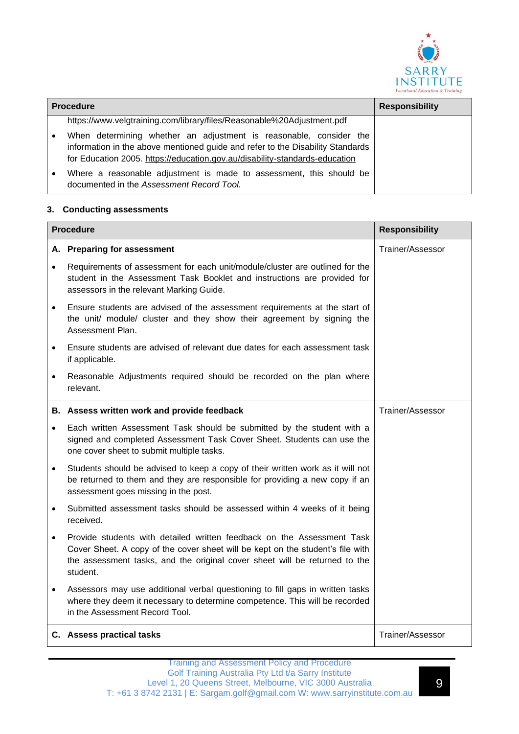

| <b>Procedure</b> |                                                                                                                                                                                                                                     | <b>Responsibility</b> |
|------------------|-------------------------------------------------------------------------------------------------------------------------------------------------------------------------------------------------------------------------------------|-----------------------|
|                  | https://www.velgtraining.com/library/files/Reasonable%20Adjustment.pdf                                                                                                                                                              |                       |
|                  | When determining whether an adjustment is reasonable, consider the<br>information in the above mentioned guide and refer to the Disability Standards<br>for Education 2005. https://education.gov.au/disability-standards-education |                       |
|                  | Where a reasonable adjustment is made to assessment, this should be<br>documented in the Assessment Record Tool.                                                                                                                    |                       |

#### **3. Conducting assessments**

| <b>Procedure</b> |                                                                                                                                                                                                                                                    | <b>Responsibility</b> |
|------------------|----------------------------------------------------------------------------------------------------------------------------------------------------------------------------------------------------------------------------------------------------|-----------------------|
|                  | A. Preparing for assessment                                                                                                                                                                                                                        | Trainer/Assessor      |
| $\bullet$        | Requirements of assessment for each unit/module/cluster are outlined for the<br>student in the Assessment Task Booklet and instructions are provided for<br>assessors in the relevant Marking Guide.                                               |                       |
| $\bullet$        | Ensure students are advised of the assessment requirements at the start of<br>the unit/ module/ cluster and they show their agreement by signing the<br>Assessment Plan.                                                                           |                       |
| $\bullet$        | Ensure students are advised of relevant due dates for each assessment task<br>if applicable.                                                                                                                                                       |                       |
| $\bullet$        | Reasonable Adjustments required should be recorded on the plan where<br>relevant.                                                                                                                                                                  |                       |
|                  | B. Assess written work and provide feedback                                                                                                                                                                                                        | Trainer/Assessor      |
| $\bullet$        | Each written Assessment Task should be submitted by the student with a<br>signed and completed Assessment Task Cover Sheet. Students can use the<br>one cover sheet to submit multiple tasks.                                                      |                       |
| $\bullet$        | Students should be advised to keep a copy of their written work as it will not<br>be returned to them and they are responsible for providing a new copy if an<br>assessment goes missing in the post.                                              |                       |
| $\bullet$        | Submitted assessment tasks should be assessed within 4 weeks of it being<br>received.                                                                                                                                                              |                       |
| $\bullet$        | Provide students with detailed written feedback on the Assessment Task<br>Cover Sheet. A copy of the cover sheet will be kept on the student's file with<br>the assessment tasks, and the original cover sheet will be returned to the<br>student. |                       |
| $\bullet$        | Assessors may use additional verbal questioning to fill gaps in written tasks<br>where they deem it necessary to determine competence. This will be recorded<br>in the Assessment Record Tool.                                                     |                       |
|                  | C. Assess practical tasks                                                                                                                                                                                                                          | Trainer/Assessor      |

9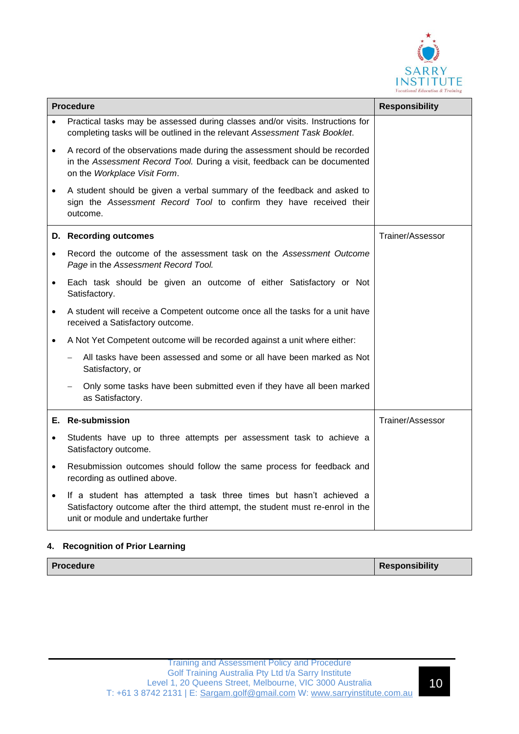

| <b>Procedure</b> |                                                                                                                                                                                               | <b>Responsibility</b> |
|------------------|-----------------------------------------------------------------------------------------------------------------------------------------------------------------------------------------------|-----------------------|
|                  | Practical tasks may be assessed during classes and/or visits. Instructions for<br>completing tasks will be outlined in the relevant Assessment Task Booklet.                                  |                       |
| $\bullet$        | A record of the observations made during the assessment should be recorded<br>in the Assessment Record Tool. During a visit, feedback can be documented<br>on the Workplace Visit Form.       |                       |
| $\bullet$        | A student should be given a verbal summary of the feedback and asked to<br>sign the Assessment Record Tool to confirm they have received their<br>outcome.                                    |                       |
|                  | D. Recording outcomes                                                                                                                                                                         | Trainer/Assessor      |
|                  | Record the outcome of the assessment task on the Assessment Outcome<br>Page in the Assessment Record Tool.                                                                                    |                       |
| $\bullet$        | Each task should be given an outcome of either Satisfactory or Not<br>Satisfactory.                                                                                                           |                       |
| $\bullet$        | A student will receive a Competent outcome once all the tasks for a unit have<br>received a Satisfactory outcome.                                                                             |                       |
| $\bullet$        | A Not Yet Competent outcome will be recorded against a unit where either:                                                                                                                     |                       |
|                  | All tasks have been assessed and some or all have been marked as Not<br>$\qquad \qquad -$<br>Satisfactory, or                                                                                 |                       |
|                  | Only some tasks have been submitted even if they have all been marked<br>$\overline{\phantom{m}}$<br>as Satisfactory.                                                                         |                       |
|                  | E. Re-submission                                                                                                                                                                              | Trainer/Assessor      |
| $\bullet$        | Students have up to three attempts per assessment task to achieve a<br>Satisfactory outcome.                                                                                                  |                       |
| $\bullet$        | Resubmission outcomes should follow the same process for feedback and<br>recording as outlined above.                                                                                         |                       |
| $\bullet$        | If a student has attempted a task three times but hasn't achieved a<br>Satisfactory outcome after the third attempt, the student must re-enrol in the<br>unit or module and undertake further |                       |

#### **4. Recognition of Prior Learning**

| <b>Procedure</b> | <b>Responsibility</b> |
|------------------|-----------------------|
|                  |                       |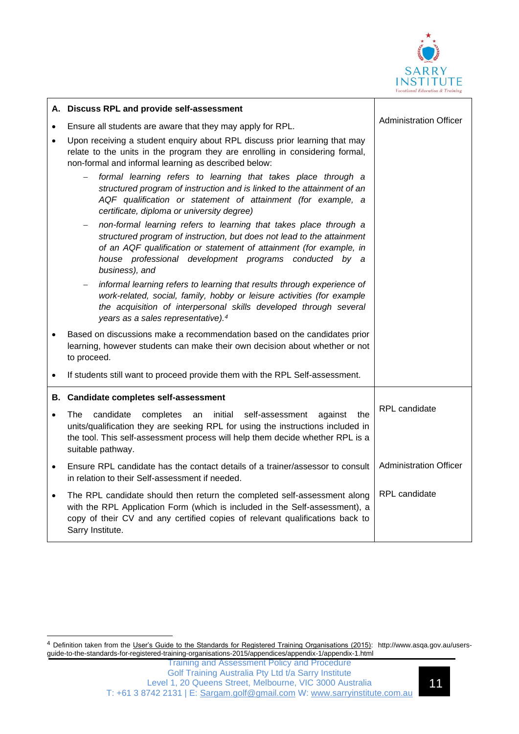

|           | A. Discuss RPL and provide self-assessment                                                                                                                                                                                                                                                     |                               |
|-----------|------------------------------------------------------------------------------------------------------------------------------------------------------------------------------------------------------------------------------------------------------------------------------------------------|-------------------------------|
| $\bullet$ | Ensure all students are aware that they may apply for RPL.                                                                                                                                                                                                                                     | <b>Administration Officer</b> |
| $\bullet$ | Upon receiving a student enquiry about RPL discuss prior learning that may<br>relate to the units in the program they are enrolling in considering formal,<br>non-formal and informal learning as described below:                                                                             |                               |
|           | formal learning refers to learning that takes place through a<br>structured program of instruction and is linked to the attainment of an<br>AQF qualification or statement of attainment (for example, a<br>certificate, diploma or university degree)                                         |                               |
|           | non-formal learning refers to learning that takes place through a<br>structured program of instruction, but does not lead to the attainment<br>of an AQF qualification or statement of attainment (for example, in<br>house professional development programs conducted by a<br>business), and |                               |
|           | informal learning refers to learning that results through experience of<br>$\qquad \qquad -$<br>work-related, social, family, hobby or leisure activities (for example<br>the acquisition of interpersonal skills developed through several<br>years as a sales representative). <sup>4</sup>  |                               |
|           | Based on discussions make a recommendation based on the candidates prior<br>learning, however students can make their own decision about whether or not<br>to proceed.                                                                                                                         |                               |
| $\bullet$ | If students still want to proceed provide them with the RPL Self-assessment.                                                                                                                                                                                                                   |                               |
|           | B. Candidate completes self-assessment                                                                                                                                                                                                                                                         |                               |
| $\bullet$ | The<br>candidate<br>completes<br>initial<br>self-assessment<br>an<br>against<br>the<br>units/qualification they are seeking RPL for using the instructions included in<br>the tool. This self-assessment process will help them decide whether RPL is a<br>suitable pathway.                   | RPL candidate                 |
| $\bullet$ | Ensure RPL candidate has the contact details of a trainer/assessor to consult<br>in relation to their Self-assessment if needed.                                                                                                                                                               | <b>Administration Officer</b> |
| $\bullet$ | The RPL candidate should then return the completed self-assessment along<br>with the RPL Application Form (which is included in the Self-assessment), a<br>copy of their CV and any certified copies of relevant qualifications back to<br>Sarry Institute.                                    | <b>RPL</b> candidate          |

<sup>4</sup> Definition taken from the User's Guide to the Standards for Registered Training Organisations (2015): http://www.asqa.gov.au/usersguide-to-the-standards-for-registered-training-organisations-2015/appendices/appendix-1/appendix-1.html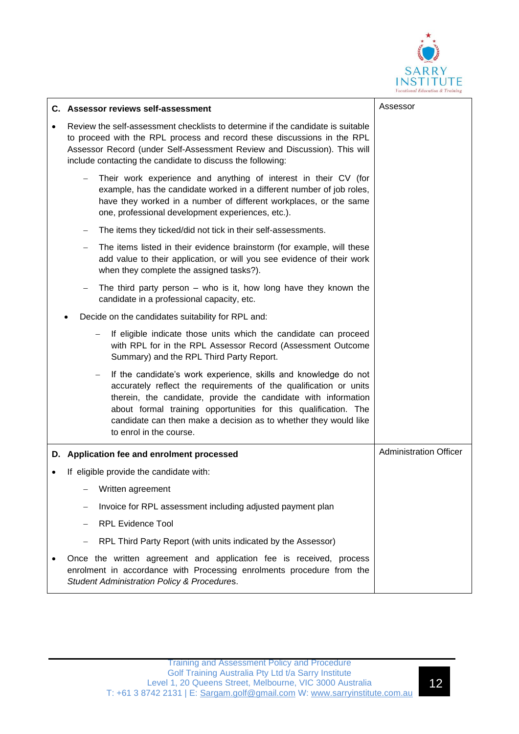

|           | C. Assessor reviews self-assessment                                                                                                                                                                                                                                                                                                                                           | Assessor                      |
|-----------|-------------------------------------------------------------------------------------------------------------------------------------------------------------------------------------------------------------------------------------------------------------------------------------------------------------------------------------------------------------------------------|-------------------------------|
| $\bullet$ | Review the self-assessment checklists to determine if the candidate is suitable<br>to proceed with the RPL process and record these discussions in the RPL<br>Assessor Record (under Self-Assessment Review and Discussion). This will<br>include contacting the candidate to discuss the following:                                                                          |                               |
|           | Their work experience and anything of interest in their CV (for<br>example, has the candidate worked in a different number of job roles,<br>have they worked in a number of different workplaces, or the same<br>one, professional development experiences, etc.).                                                                                                            |                               |
|           | The items they ticked/did not tick in their self-assessments.                                                                                                                                                                                                                                                                                                                 |                               |
|           | The items listed in their evidence brainstorm (for example, will these<br>—<br>add value to their application, or will you see evidence of their work<br>when they complete the assigned tasks?).                                                                                                                                                                             |                               |
|           | The third party person $-$ who is it, how long have they known the<br>-<br>candidate in a professional capacity, etc.                                                                                                                                                                                                                                                         |                               |
|           | Decide on the candidates suitability for RPL and:                                                                                                                                                                                                                                                                                                                             |                               |
|           | If eligible indicate those units which the candidate can proceed<br>-<br>with RPL for in the RPL Assessor Record (Assessment Outcome<br>Summary) and the RPL Third Party Report.                                                                                                                                                                                              |                               |
|           | If the candidate's work experience, skills and knowledge do not<br>-<br>accurately reflect the requirements of the qualification or units<br>therein, the candidate, provide the candidate with information<br>about formal training opportunities for this qualification. The<br>candidate can then make a decision as to whether they would like<br>to enrol in the course. |                               |
|           | D. Application fee and enrolment processed                                                                                                                                                                                                                                                                                                                                    | <b>Administration Officer</b> |
|           | If eligible provide the candidate with:                                                                                                                                                                                                                                                                                                                                       |                               |
|           | Written agreement                                                                                                                                                                                                                                                                                                                                                             |                               |
|           | Invoice for RPL assessment including adjusted payment plan                                                                                                                                                                                                                                                                                                                    |                               |
|           | <b>RPL Evidence Tool</b>                                                                                                                                                                                                                                                                                                                                                      |                               |
|           | RPL Third Party Report (with units indicated by the Assessor)                                                                                                                                                                                                                                                                                                                 |                               |
|           | Once the written agreement and application fee is received, process<br>enrolment in accordance with Processing enrolments procedure from the<br>Student Administration Policy & Procedures.                                                                                                                                                                                   |                               |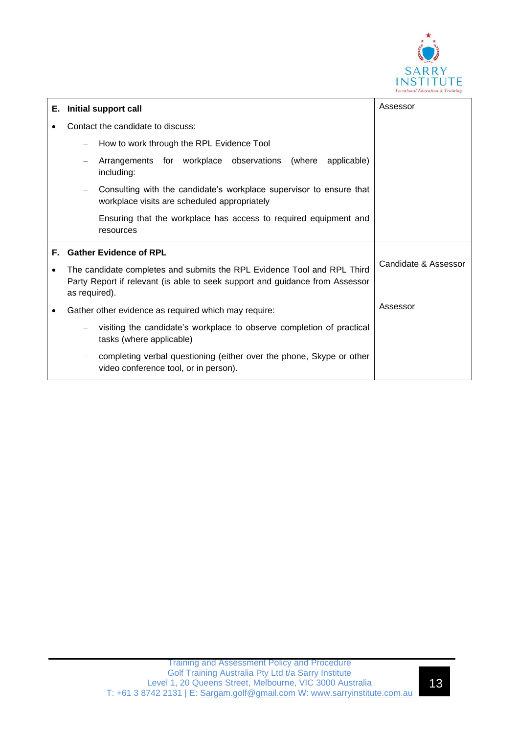

| Е. | Initial support call                                                                                                                                                     | Assessor             |
|----|--------------------------------------------------------------------------------------------------------------------------------------------------------------------------|----------------------|
|    | Contact the candidate to discuss:                                                                                                                                        |                      |
|    | How to work through the RPL Evidence Tool                                                                                                                                |                      |
|    | Arrangements for workplace observations (where<br>applicable)<br>including:                                                                                              |                      |
|    | Consulting with the candidate's workplace supervisor to ensure that<br>workplace visits are scheduled appropriately                                                      |                      |
|    | Ensuring that the workplace has access to required equipment and<br>$\qquad \qquad -$<br>resources                                                                       |                      |
| Е. | <b>Gather Evidence of RPL</b>                                                                                                                                            |                      |
| ٠  | The candidate completes and submits the RPL Evidence Tool and RPL Third<br>Party Report if relevant (is able to seek support and guidance from Assessor<br>as required). | Candidate & Assessor |
|    | Gather other evidence as required which may require:                                                                                                                     | Assessor             |
|    | visiting the candidate's workplace to observe completion of practical<br>tasks (where applicable)                                                                        |                      |
|    | completing verbal questioning (either over the phone, Skype or other<br>video conference tool, or in person).                                                            |                      |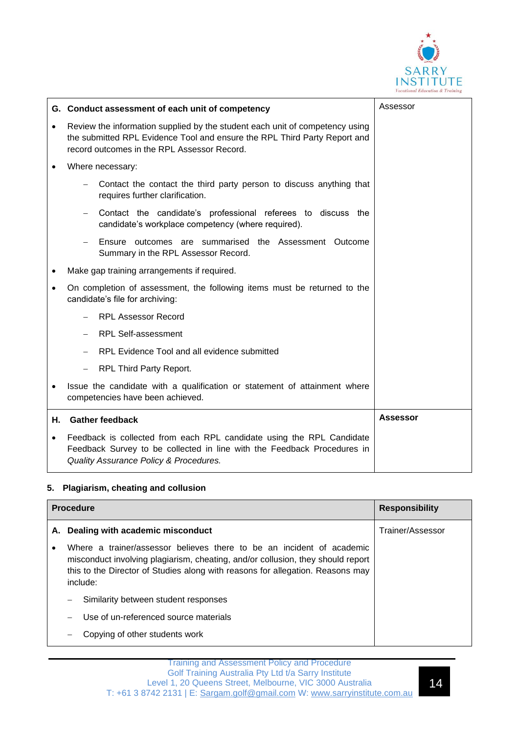

|           | G. Conduct assessment of each unit of competency                                                                                                                                                         | Assessor        |
|-----------|----------------------------------------------------------------------------------------------------------------------------------------------------------------------------------------------------------|-----------------|
| $\bullet$ | Review the information supplied by the student each unit of competency using<br>the submitted RPL Evidence Tool and ensure the RPL Third Party Report and<br>record outcomes in the RPL Assessor Record. |                 |
| $\bullet$ | Where necessary:                                                                                                                                                                                         |                 |
|           | Contact the contact the third party person to discuss anything that<br>requires further clarification.                                                                                                   |                 |
|           | Contact the candidate's professional referees to discuss the<br>candidate's workplace competency (where required).                                                                                       |                 |
|           | Ensure outcomes are summarised the Assessment Outcome<br>Summary in the RPL Assessor Record.                                                                                                             |                 |
| ٠         | Make gap training arrangements if required.                                                                                                                                                              |                 |
| $\bullet$ | On completion of assessment, the following items must be returned to the<br>candidate's file for archiving:                                                                                              |                 |
|           | <b>RPL Assessor Record</b>                                                                                                                                                                               |                 |
|           | <b>RPL Self-assessment</b>                                                                                                                                                                               |                 |
|           | RPL Evidence Tool and all evidence submitted                                                                                                                                                             |                 |
|           | RPL Third Party Report.                                                                                                                                                                                  |                 |
| $\bullet$ | Issue the candidate with a qualification or statement of attainment where<br>competencies have been achieved.                                                                                            |                 |
| Η.        | <b>Gather feedback</b>                                                                                                                                                                                   | <b>Assessor</b> |
| $\bullet$ | Feedback is collected from each RPL candidate using the RPL Candidate<br>Feedback Survey to be collected in line with the Feedback Procedures in<br>Quality Assurance Policy & Procedures.               |                 |

#### **5. Plagiarism, cheating and collusion**

| <b>Procedure</b> |                                                                                                                                                                                                                                                        | <b>Responsibility</b> |
|------------------|--------------------------------------------------------------------------------------------------------------------------------------------------------------------------------------------------------------------------------------------------------|-----------------------|
| А.               | Dealing with academic misconduct                                                                                                                                                                                                                       | Trainer/Assessor      |
| ٠                | Where a trainer/assessor believes there to be an incident of academic<br>misconduct involving plagiarism, cheating, and/or collusion, they should report<br>this to the Director of Studies along with reasons for allegation. Reasons may<br>include: |                       |
|                  | Similarity between student responses                                                                                                                                                                                                                   |                       |
|                  | Use of un-referenced source materials                                                                                                                                                                                                                  |                       |
|                  | Copying of other students work                                                                                                                                                                                                                         |                       |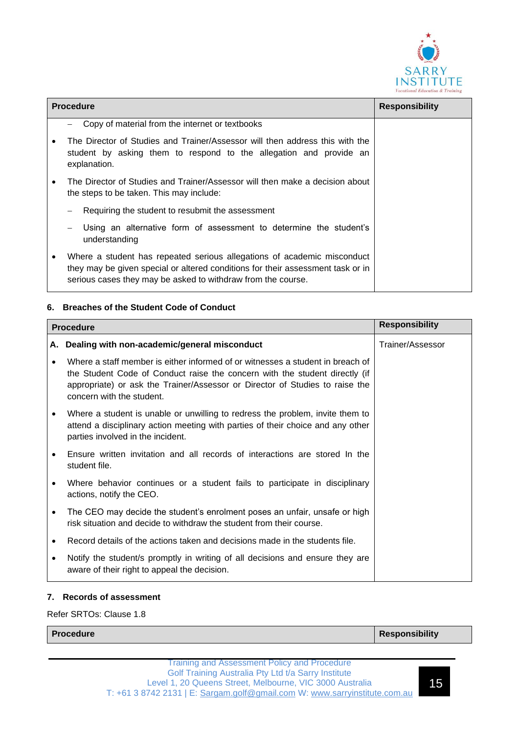

| <b>Procedure</b> |                                                                                                                                                                                                                            | <b>Responsibility</b> |
|------------------|----------------------------------------------------------------------------------------------------------------------------------------------------------------------------------------------------------------------------|-----------------------|
|                  | Copy of material from the internet or textbooks                                                                                                                                                                            |                       |
|                  | The Director of Studies and Trainer/Assessor will then address this with the<br>student by asking them to respond to the allegation and provide an<br>explanation.                                                         |                       |
|                  | The Director of Studies and Trainer/Assessor will then make a decision about<br>the steps to be taken. This may include:                                                                                                   |                       |
|                  | Requiring the student to resubmit the assessment                                                                                                                                                                           |                       |
|                  | Using an alternative form of assessment to determine the student's<br>understanding                                                                                                                                        |                       |
|                  | Where a student has repeated serious allegations of academic misconduct<br>they may be given special or altered conditions for their assessment task or in<br>serious cases they may be asked to withdraw from the course. |                       |

#### **6. Breaches of the Student Code of Conduct**

| <b>Procedure</b> |                                                                                                                                                                                                                                                                            | <b>Responsibility</b> |
|------------------|----------------------------------------------------------------------------------------------------------------------------------------------------------------------------------------------------------------------------------------------------------------------------|-----------------------|
| А.               | Dealing with non-academic/general misconduct                                                                                                                                                                                                                               | Trainer/Assessor      |
| ٠                | Where a staff member is either informed of or witnesses a student in breach of<br>the Student Code of Conduct raise the concern with the student directly (if<br>appropriate) or ask the Trainer/Assessor or Director of Studies to raise the<br>concern with the student. |                       |
|                  | Where a student is unable or unwilling to redress the problem, invite them to<br>attend a disciplinary action meeting with parties of their choice and any other<br>parties involved in the incident.                                                                      |                       |
| $\bullet$        | Ensure written invitation and all records of interactions are stored In the<br>student file.                                                                                                                                                                               |                       |
|                  | Where behavior continues or a student fails to participate in disciplinary<br>actions, notify the CEO.                                                                                                                                                                     |                       |
|                  | The CEO may decide the student's enrolment poses an unfair, unsafe or high<br>risk situation and decide to withdraw the student from their course.                                                                                                                         |                       |
|                  | Record details of the actions taken and decisions made in the students file.                                                                                                                                                                                               |                       |
| ٠                | Notify the student/s promptly in writing of all decisions and ensure they are<br>aware of their right to appeal the decision.                                                                                                                                              |                       |

#### **7. Records of assessment**

Refer SRTOs: Clause 1.8

**Procedure Responsibility**